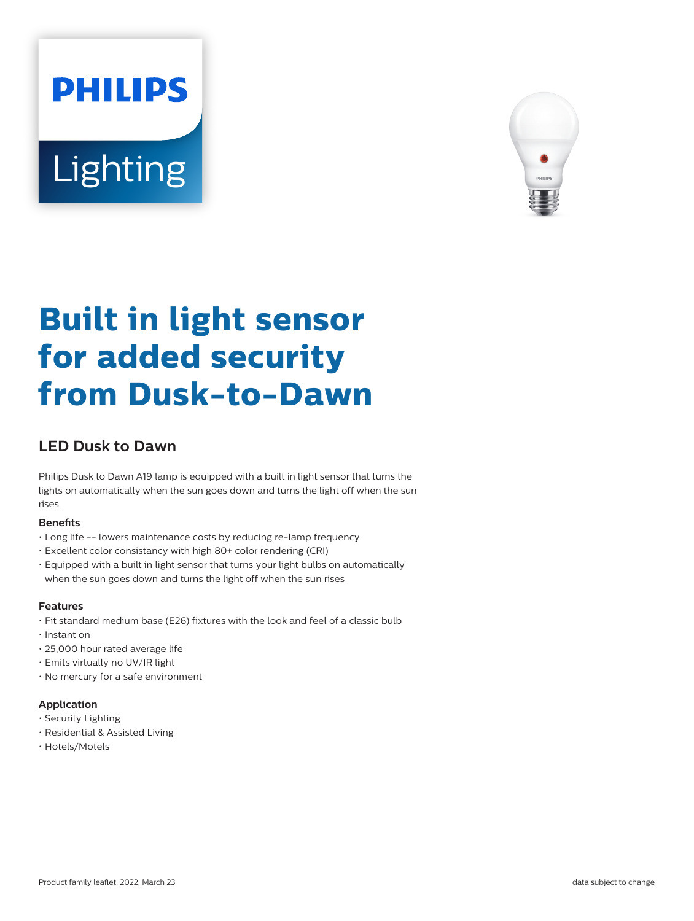# **PHILIPS Lighting**



## **Built in light sensor for added security from Dusk-to-Dawn**

### **LED Dusk to Dawn**

Philips Dusk to Dawn A19 lamp is equipped with a built in light sensor that turns the lights on automatically when the sun goes down and turns the light off when the sun rises.

#### **Benefits**

- Long life -- lowers maintenance costs by reducing re-lamp frequency
- Excellent color consistancy with high 80+ color rendering (CRI)
- Equipped with a built in light sensor that turns your light bulbs on automatically when the sun goes down and turns the light off when the sun rises

#### **Features**

- Fit standard medium base (E26) fixtures with the look and feel of a classic bulb
- Instant on
- 25,000 hour rated average life
- Emits virtually no UV/IR light
- No mercury for a safe environment

#### **Application**

- Security Lighting
- Residential & Assisted Living
- Hotels/Motels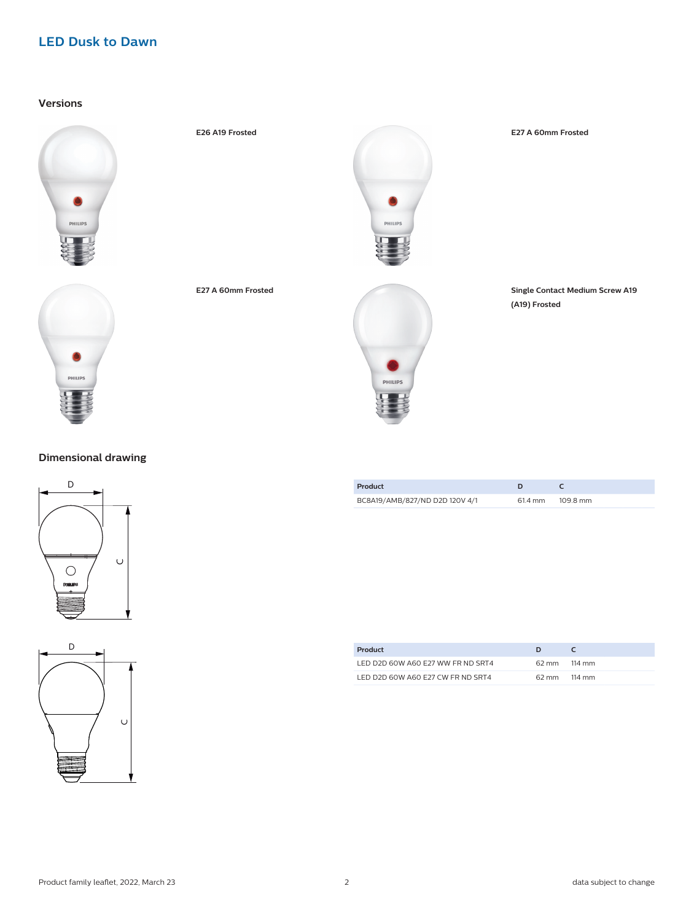#### **LED Dusk to Dawn**

**Versions**









**E26 A19 Frosted E27 A 60mm Frosted**

**E27 A 60mm Frosted Single Contact Medium Screw A19 (A19) Frosted**

| Product                        |         |          |
|--------------------------------|---------|----------|
| BC8A19/AMB/827/ND D2D 120V 4/1 | 61.4 mm | 109.8 mm |

| Product                           |              |        |
|-----------------------------------|--------------|--------|
| LED D2D 60W A60 F27 WW FR ND SRT4 | 62 mm 114 mm |        |
| LED D2D 60W A60 E27 CW FR ND SRT4 | 62 mm        | 114 mm |

#### **Dimensional drawing**



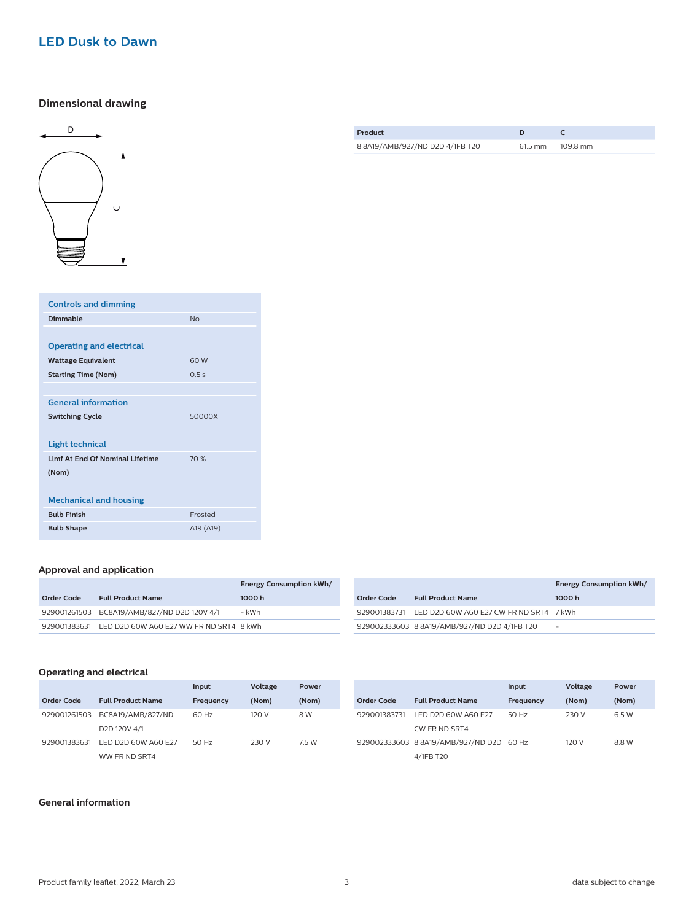#### **LED Dusk to Dawn**

#### **Dimensional drawing**



| <b>Controls and dimming</b>             |                |
|-----------------------------------------|----------------|
| Dimmable                                | N <sub>0</sub> |
|                                         |                |
| <b>Operating and electrical</b>         |                |
| <b>Wattage Equivalent</b>               | 60 W           |
| <b>Starting Time (Nom)</b>              | 0.5s           |
|                                         |                |
| <b>General information</b>              |                |
| <b>Switching Cycle</b>                  | 50000X         |
|                                         |                |
| <b>Light technical</b>                  |                |
| <b>I Imf At Fnd Of Nominal Lifetime</b> | 70%            |
| (Nom)                                   |                |
|                                         |                |
| <b>Mechanical and housing</b>           |                |
| <b>Bulb Finish</b>                      | Frosted        |
| <b>Bulb Shape</b>                       | A19 (A19)      |

#### **Approval and application**

|            |                                                      | <b>Energy Consumption kWh/</b> |
|------------|------------------------------------------------------|--------------------------------|
| Order Code | <b>Full Product Name</b>                             | 1000 h                         |
|            | 929001261503 BC8A19/AMB/827/ND D2D 120V 4/1          | - kWh                          |
|            | 929001383631 LED D2D 60W A60 E27 WW FR ND SRT4 8 kWh |                                |

|            |                                                      | <b>Energy Consumption kWh/</b> |
|------------|------------------------------------------------------|--------------------------------|
| Order Code | <b>Full Product Name</b>                             | 1000 h                         |
|            | 929001383731 LED D2D 60W A60 E27 CW FR ND SRT4 7 kWh |                                |
|            | 929002333603 8.8A19/AMB/927/ND D2D 4/1FB T20         | $\overline{\phantom{0}}$       |

#### **Operating and electrical**

|              |                                      | Input     | Voltage | Power |              |                                          | Input     | Voltage | Power |
|--------------|--------------------------------------|-----------|---------|-------|--------------|------------------------------------------|-----------|---------|-------|
| Order Code   | <b>Full Product Name</b>             | Frequency | (Nom)   | (Nom) | Order Code   | <b>Full Product Name</b>                 | Frequency | (Nom)   | (Nom) |
| 929001261503 | BC8A19/AMB/827/ND                    | 60 Hz     | 120 V   | 8 W   | 929001383731 | LED D2D 60W A60 E27                      | 50 Hz     | 230 V   | 6.5 W |
|              | D <sub>2</sub> D <sub>120V</sub> 4/1 |           |         |       |              | CW FR ND SRT4                            |           |         |       |
| 929001383631 | LED D2D 60W A60 E27                  | 50 Hz     | 230 V   | 7.5 W |              | 929002333603 8.8A19/AMB/927/ND D2D 60 Hz |           | 120 V   | 8.8 W |
|              | WW FR ND SRT4                        |           |         |       |              | 4/1FB T20                                |           |         |       |

#### **General information**

| Product                         |        |          |
|---------------------------------|--------|----------|
| 8.8A19/AMB/927/ND D2D 4/1FB T20 | 615 mm | 109.8 mm |